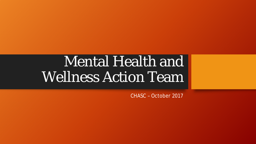# Mental Health and Wellness Action Team

CHASC – October 2017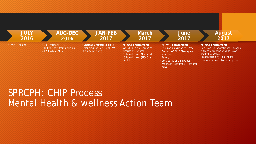

### SPRCPH: CHIP Process Mental Health & wellness Action Team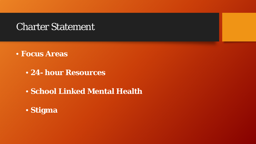### Charter Statement

- **Focus Areas**
	- **24- hour Resources**
	- **School Linked Mental Health**
	- **Stigma**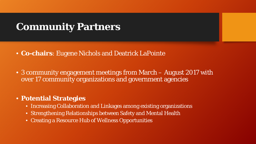# **Community Partners**

- **Co-chairs**: Eugene Nichols and Deatrick LaPointe
- 3 community engagement meetings from March August 2017 with over 17 community organizations and government agencies

#### • **Potential Strategies**

- Increasing Collaboration and Linkages among existing organizations
- Strengthening Relationships between Safety and Mental Health
- Creating a Resource Hub of Wellness Opportunities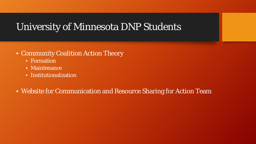## University of Minnesota DNP Students

#### • Community Coalition Action Theory

- Formation
- Maintenance
- Institutionalization

#### • Website for Communication and Resource Sharing for Action Team